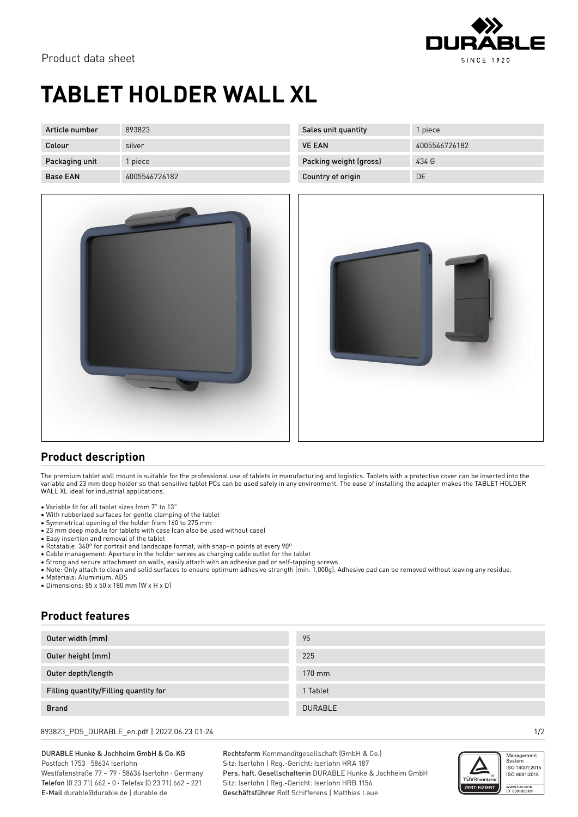

## **TABLET HOLDER WALL XL**

| Article number  | 893823        | Sales unit quantity    | l piece       |
|-----------------|---------------|------------------------|---------------|
| Colour          | silver        | <b>VE EAN</b>          | 4005546726182 |
| Packaging unit  | l piece       | Packing weight (gross) | 434 G         |
| <b>Base EAN</b> | 4005546726182 | Country of origin      | <b>DE</b>     |



| 4005546726182<br><b>VE EAN</b>  |  |
|---------------------------------|--|
| Packing weight (gross)<br>434 G |  |
| Country of origin<br>DE         |  |
|                                 |  |
|                                 |  |



## **Product description**

The premium tablet wall mount is suitable for the professional use of tablets in manufacturing and logistics. Tablets with a protective cover can be inserted into the variable and 23 mm deep holder so that sensitive tablet PCs can be used safely in any environment. The ease of installing the adapter makes the TABLET HOLDER WALL XL ideal for industrial applications.

- Variable fit for all tablet sizes from 7" to 13"
- With rubberized surfaces for gentle clamping of the tablet
- Symmetrical opening of the holder from 160 to 275 mm
- 23 mm deep module for tablets with case (can also be used without case)
- Easy insertion and removal of the tablet
- Rotatable: 360º for portrait and landscape format, with snap-in points at every 90º
- Cable management: Aperture in the holder serves as charging cable outlet for the tablet
- Strong and secure attachment on walls, easily attach with an adhesive pad or self-tapping screws
- Note: Only attach to clean and solid surfaces to ensure optimum adhesive strength (min. 1,000g). Adhesive pad can be removed without leaving any residue.

• Materials: Aluminium, ABS

• Dimensions: 85 x 50 x 180 mm (W x H x D)

## **Product features**

| Outer width (mm)                      | 95             |
|---------------------------------------|----------------|
| Outer height (mm)                     | 225            |
| Outer depth/length                    | 170 mm         |
| Filling quantity/Filling quantity for | 1 Tablet       |
| <b>Brand</b>                          | <b>DURABLE</b> |

893823\_PDS\_DURABLE\_en.pdf | 2022.06.23 01:24 1/2

DURABLE Hunke & Jochheim GmbH & Co.KG Postfach 1753 · 58634 Iserlohn Westfalenstraße 77 – 79 · 58636 Iserlohn · Germany Telefon (0 23 71) 662 - 0 · Telefax (0 23 71) 662 - 221

E-Mail durable@durable.de | durable.de

Rechtsform Kommanditgesellschaft (GmbH & Co.) Sitz: Iserlohn | Reg.-Gericht: Iserlohn HRA 187 Pers. haft. Gesellschafterin DURABLE Hunke & Jochheim GmbH Sitz: Iserlohn | Reg.-Gericht: Iserlohn HRB 1156 Geschäftsführer Rolf Schifferens | Matthias Laue